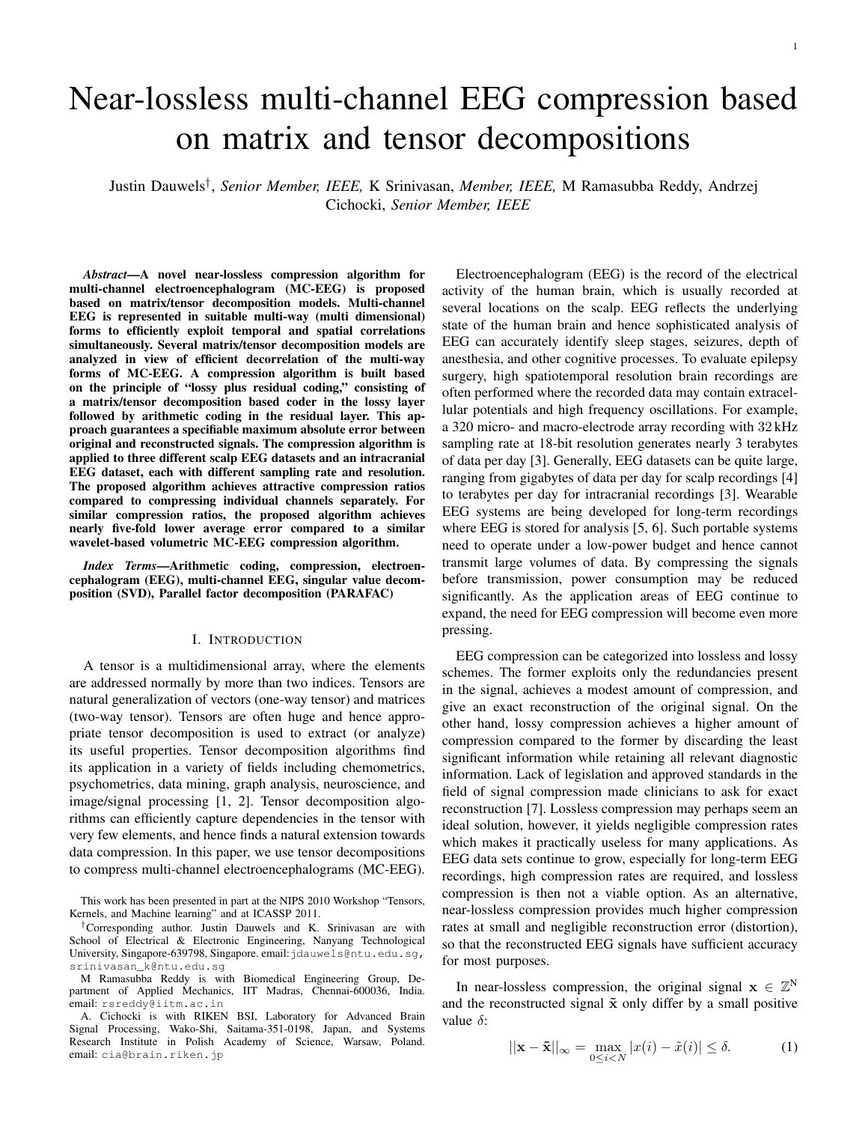# Near-lossless multi-channel EEG compression based on matrix and tensor decompositions

Justin Dauwels† , *Senior Member, IEEE,* K Srinivasan, *Member, IEEE,* M Ramasubba Reddy, Andrzej Cichocki, *Senior Member, IEEE*

*Abstract*—A novel near-lossless compression algorithm for multi-channel electroencephalogram (MC-EEG) is proposed based on matrix/tensor decomposition models. Multi-channel EEG is represented in suitable multi-way (multi dimensional) forms to efficiently exploit temporal and spatial correlations simultaneously. Several matrix/tensor decomposition models are analyzed in view of efficient decorrelation of the multi-way forms of MC-EEG. A compression algorithm is built based on the principle of "lossy plus residual coding," consisting of a matrix/tensor decomposition based coder in the lossy layer followed by arithmetic coding in the residual layer. This approach guarantees a specifiable maximum absolute error between original and reconstructed signals. The compression algorithm is applied to three different scalp EEG datasets and an intracranial EEG dataset, each with different sampling rate and resolution. The proposed algorithm achieves attractive compression ratios compared to compressing individual channels separately. For similar compression ratios, the proposed algorithm achieves nearly five-fold lower average error compared to a similar wavelet-based volumetric MC-EEG compression algorithm.

*Index Terms*—Arithmetic coding, compression, electroencephalogram (EEG), multi-channel EEG, singular value decomposition (SVD), Parallel factor decomposition (PARAFAC)

### I. INTRODUCTION

A tensor is a multidimensional array, where the elements are addressed normally by more than two indices. Tensors are natural generalization of vectors (one-way tensor) and matrices (two-way tensor). Tensors are often huge and hence appropriate tensor decomposition is used to extract (or analyze) its useful properties. Tensor decomposition algorithms find its application in a variety of fields including chemometrics, psychometrics, data mining, graph analysis, neuroscience, and image/signal processing [1, 2]. Tensor decomposition algorithms can efficiently capture dependencies in the tensor with very few elements, and hence finds a natural extension towards data compression. In this paper, we use tensor decompositions to compress multi-channel electroencephalograms (MC-EEG).

This work has been presented in part at the NIPS 2010 Workshop "Tensors, Kernels, and Machine learning" and at ICASSP 2011.

†Corresponding author. Justin Dauwels and K. Srinivasan are with School of Electrical & Electronic Engineering, Nanyang Technological University, Singapore-639798, Singapore. email: jdauwels@ntu.edu.sg, srinivasan\_k@ntu.edu.sg

M Ramasubba Reddy is with Biomedical Engineering Group, Department of Applied Mechanics, IIT Madras, Chennai-600036, India. email: rsreddy@iitm.ac.in

A. Cichocki is with RIKEN BSI, Laboratory for Advanced Brain Signal Processing, Wako-Shi, Saitama-351-0198, Japan, and Systems Research Institute in Polish Academy of Science, Warsaw, Poland. email: cia@brain.riken.jp

Electroencephalogram (EEG) is the record of the electrical activity of the human brain, which is usually recorded at several locations on the scalp. EEG reflects the underlying state of the human brain and hence sophisticated analysis of EEG can accurately identify sleep stages, seizures, depth of anesthesia, and other cognitive processes. To evaluate epilepsy surgery, high spatiotemporal resolution brain recordings are often performed where the recorded data may contain extracellular potentials and high frequency oscillations. For example, a 320 micro- and macro-electrode array recording with 32 kHz sampling rate at 18-bit resolution generates nearly 3 terabytes of data per day [3]. Generally, EEG datasets can be quite large, ranging from gigabytes of data per day for scalp recordings [4] to terabytes per day for intracranial recordings [3]. Wearable EEG systems are being developed for long-term recordings where EEG is stored for analysis [5, 6]. Such portable systems need to operate under a low-power budget and hence cannot transmit large volumes of data. By compressing the signals before transmission, power consumption may be reduced significantly. As the application areas of EEG continue to expand, the need for EEG compression will become even more pressing.

EEG compression can be categorized into lossless and lossy schemes. The former exploits only the redundancies present in the signal, achieves a modest amount of compression, and give an exact reconstruction of the original signal. On the other hand, lossy compression achieves a higher amount of compression compared to the former by discarding the least significant information while retaining all relevant diagnostic information. Lack of legislation and approved standards in the field of signal compression made clinicians to ask for exact reconstruction [7]. Lossless compression may perhaps seem an ideal solution, however, it yields negligible compression rates which makes it practically useless for many applications. As EEG data sets continue to grow, especially for long-term EEG recordings, high compression rates are required, and lossless compression is then not a viable option. As an alternative, near-lossless compression provides much higher compression rates at small and negligible reconstruction error (distortion), so that the reconstructed EEG signals have sufficient accuracy for most purposes.

In near-lossless compression, the original signal  $\mathbf{x} \in \mathbb{Z}^N$ and the reconstructed signal  $\tilde{x}$  only differ by a small positive value  $\delta$ :

$$
||\mathbf{x} - \tilde{\mathbf{x}}||_{\infty} = \max_{0 \le i < N} |x(i) - \tilde{x}(i)| \le \delta. \tag{1}
$$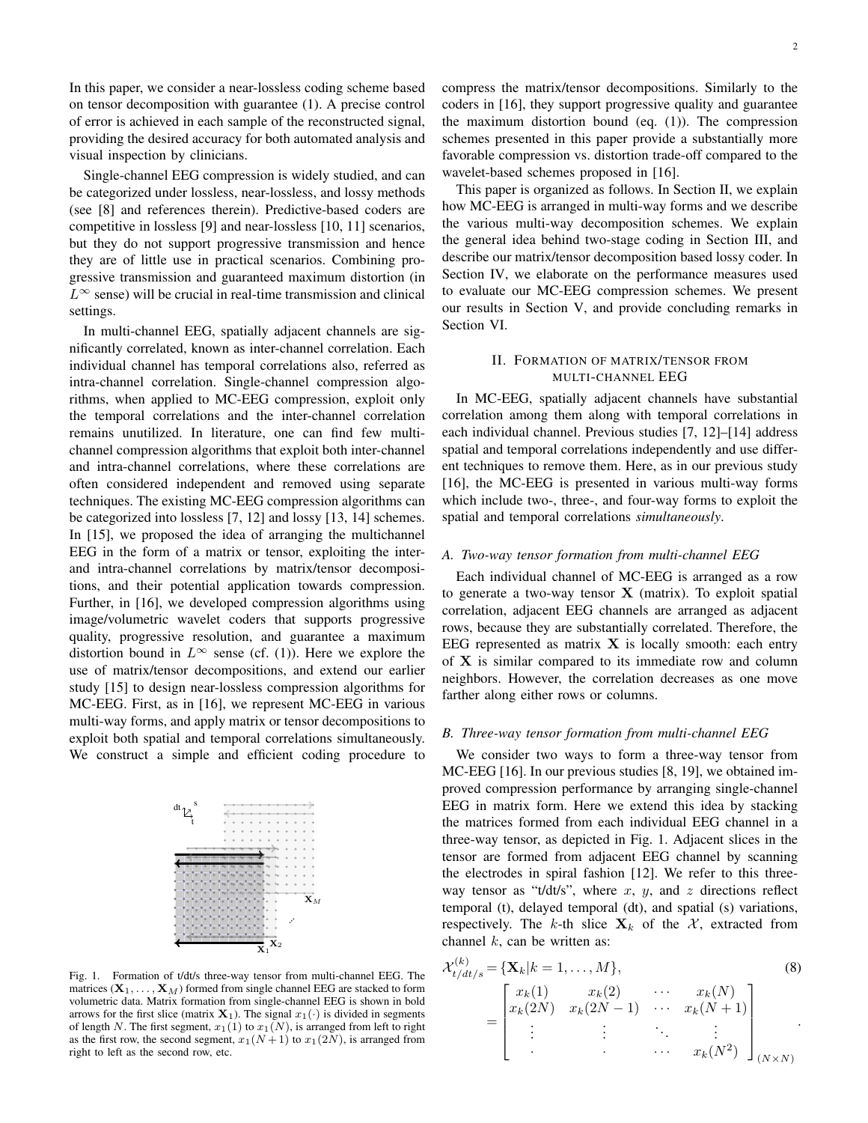In this paper, we consider a near-lossless coding scheme based on tensor decomposition with guarantee (1). A precise control of error is achieved in each sample of the reconstructed signal, providing the desired accuracy for both automated analysis and visual inspection by clinicians.

Single-channel EEG compression is widely studied, and can be categorized under lossless, near-lossless, and lossy methods (see [8] and references therein). Predictive-based coders are competitive in lossless [9] and near-lossless [10, 11] scenarios, but they do not support progressive transmission and hence they are of little use in practical scenarios. Combining progressive transmission and guaranteed maximum distortion (in  $L^{\infty}$  sense) will be crucial in real-time transmission and clinical settings.

In multi-channel EEG, spatially adjacent channels are significantly correlated, known as inter-channel correlation. Each individual channel has temporal correlations also, referred as intra-channel correlation. Single-channel compression algorithms, when applied to MC-EEG compression, exploit only the temporal correlations and the inter-channel correlation remains unutilized. In literature, one can find few multichannel compression algorithms that exploit both inter-channel and intra-channel correlations, where these correlations are often considered independent and removed using separate techniques. The existing MC-EEG compression algorithms can be categorized into lossless [7, 12] and lossy [13, 14] schemes. In [15], we proposed the idea of arranging the multichannel EEG in the form of a matrix or tensor, exploiting the interand intra-channel correlations by matrix/tensor decompositions, and their potential application towards compression. Further, in [16], we developed compression algorithms using image/volumetric wavelet coders that supports progressive quality, progressive resolution, and guarantee a maximum distortion bound in  $L^{\infty}$  sense (cf. (1)). Here we explore the use of matrix/tensor decompositions, and extend our earlier study [15] to design near-lossless compression algorithms for MC-EEG. First, as in [16], we represent MC-EEG in various multi-way forms, and apply matrix or tensor decompositions to exploit both spatial and temporal correlations simultaneously. We construct a simple and efficient coding procedure to



Fig. 1. Formation of t/dt/s three-way tensor from multi-channel EEG. The matrices  $(X_1, \ldots, X_M)$  formed from single channel EEG are stacked to form volumetric data. Matrix formation from single-channel EEG is shown in bold arrows for the first slice (matrix  $X_1$ ). The signal  $x_1(\cdot)$  is divided in segments of length N. The first segment,  $x_1(1)$  to  $x_1(N)$ , is arranged from left to right as the first row, the second segment,  $x_1(N+1)$  to  $x_1(2N)$ , is arranged from right to left as the second row, etc.

compress the matrix/tensor decompositions. Similarly to the coders in [16], they support progressive quality and guarantee the maximum distortion bound (eq. (1)). The compression schemes presented in this paper provide a substantially more favorable compression vs. distortion trade-off compared to the wavelet-based schemes proposed in [16].

This paper is organized as follows. In Section II, we explain how MC-EEG is arranged in multi-way forms and we describe the various multi-way decomposition schemes. We explain the general idea behind two-stage coding in Section III, and describe our matrix/tensor decomposition based lossy coder. In Section IV, we elaborate on the performance measures used to evaluate our MC-EEG compression schemes. We present our results in Section V, and provide concluding remarks in Section VI.

# II. FORMATION OF MATRIX/TENSOR FROM MULTI-CHANNEL EEG

In MC-EEG, spatially adjacent channels have substantial correlation among them along with temporal correlations in each individual channel. Previous studies [7, 12]–[14] address spatial and temporal correlations independently and use different techniques to remove them. Here, as in our previous study [16], the MC-EEG is presented in various multi-way forms which include two-, three-, and four-way forms to exploit the spatial and temporal correlations *simultaneously*.

## *A. Two-way tensor formation from multi-channel EEG*

Each individual channel of MC-EEG is arranged as a row to generate a two-way tensor  $X$  (matrix). To exploit spatial correlation, adjacent EEG channels are arranged as adjacent rows, because they are substantially correlated. Therefore, the EEG represented as matrix  $X$  is locally smooth: each entry of X is similar compared to its immediate row and column neighbors. However, the correlation decreases as one move farther along either rows or columns.

# *B. Three-way tensor formation from multi-channel EEG*

We consider two ways to form a three-way tensor from MC-EEG [16]. In our previous studies [8, 19], we obtained improved compression performance by arranging single-channel EEG in matrix form. Here we extend this idea by stacking the matrices formed from each individual EEG channel in a three-way tensor, as depicted in Fig. 1. Adjacent slices in the tensor are formed from adjacent EEG channel by scanning the electrodes in spiral fashion [12]. We refer to this threeway tensor as "t/dt/s", where  $x$ ,  $y$ , and  $z$  directions reflect temporal (t), delayed temporal (dt), and spatial (s) variations, respectively. The k-th slice  $X_k$  of the X, extracted from channel  $k$ , can be written as:

$$
\mathcal{X}_{t/dt/s}^{(k)} = \{ \mathbf{X}_k | k = 1, ..., M \},
$$
\n
$$
= \begin{bmatrix} x_k(1) & x_k(2) & \cdots & x_k(N) \\ x_k(2N) & x_k(2N-1) & \cdots & x_k(N+1) \\ \vdots & \vdots & \ddots & \vdots \\ x_k(N-1) & \cdots & x_k(N-2) \end{bmatrix}_{(N \times N)}
$$
\n(8)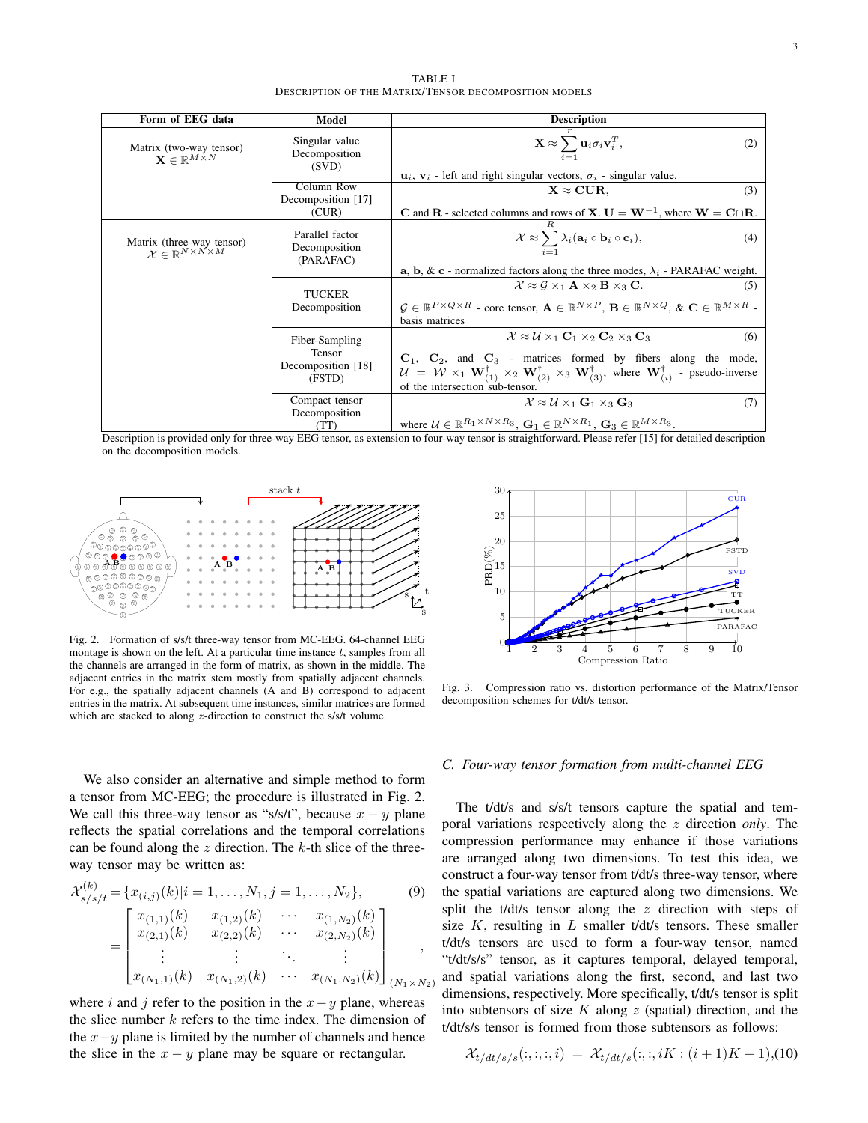TABLE I DESCRIPTION OF THE MATRIX/TENSOR DECOMPOSITION MODELS

| Form of EEG data                                                                | Model                                         | <b>Description</b>                                                                                                                                                                                                                                                                                        |  |  |  |  |  |
|---------------------------------------------------------------------------------|-----------------------------------------------|-----------------------------------------------------------------------------------------------------------------------------------------------------------------------------------------------------------------------------------------------------------------------------------------------------------|--|--|--|--|--|
| Matrix (two-way tensor)<br>$\mathbf{X} \in \mathbb{R}^{M \times N}$             | Singular value<br>Decomposition<br>(SVD)      | $\mathbf{X} \approx \sum_{i=1} \mathbf{u}_i \sigma_i \mathbf{v}_i^T,$<br>(2)                                                                                                                                                                                                                              |  |  |  |  |  |
|                                                                                 |                                               | $\mathbf{u}_i$ , $\mathbf{v}_i$ - left and right singular vectors, $\sigma_i$ - singular value.                                                                                                                                                                                                           |  |  |  |  |  |
|                                                                                 | Column Row<br>Decomposition [17]              | $X \approx CUR$ .<br>(3)                                                                                                                                                                                                                                                                                  |  |  |  |  |  |
|                                                                                 | (CUR)                                         | <b>C</b> and <b>R</b> - selected columns and rows of <b>X</b> . $U = W^{-1}$ , where $W = C \cap R$ .                                                                                                                                                                                                     |  |  |  |  |  |
| Matrix (three-way tensor)<br>$\mathcal{X} \in \mathbb{R}^{N \times N \times M}$ | Parallel factor<br>Decomposition<br>(PARAFAC) | $\mathcal{X} \approx \sum_{i=1} \lambda_i (\mathbf{a}_i \circ \mathbf{b}_i \circ \mathbf{c}_i),$<br>(4)                                                                                                                                                                                                   |  |  |  |  |  |
|                                                                                 |                                               | <b>a</b> , <b>b</b> , & <b>c</b> - normalized factors along the three modes, $\lambda_i$ - PARAFAC weight.                                                                                                                                                                                                |  |  |  |  |  |
|                                                                                 | <b>TUCKER</b><br>Decomposition                | $\mathcal{X} \approx \mathcal{G} \times_1 \mathbf{A} \times_2 \mathbf{B} \times_3 \mathbf{C}$ .<br>(5)                                                                                                                                                                                                    |  |  |  |  |  |
|                                                                                 |                                               | $G \in \mathbb{R}^{P \times Q \times R}$ - core tensor, $\mathbf{A} \in \mathbb{R}^{N \times P}$ , $\mathbf{B} \in \mathbb{R}^{N \times Q}$ , $\& \mathbf{C} \in \mathbb{R}^{M \times R}$ -<br>basis matrices                                                                                             |  |  |  |  |  |
|                                                                                 | Fiber-Sampling                                | $\mathcal{X} \approx \mathcal{U} \times_1 \mathbf{C}_1 \times_2 \mathbf{C}_2 \times_3 \mathbf{C}_3$<br>(6)                                                                                                                                                                                                |  |  |  |  |  |
|                                                                                 | <b>Tensor</b><br>Decomposition [18]<br>(FSTD) | $C_1$ , $C_2$ , and $C_3$ - matrices formed by fibers along the mode,<br>$\mathcal{U} = \mathcal{W} \times_1 \mathbf{W}_{(1)}^{\dagger} \times_2 \mathbf{W}_{(2)}^{\dagger} \times_3 \mathbf{W}_{(3)}^{\dagger}$ , where $\mathbf{W}_{(i)}^{\dagger}$ - pseudo-inverse<br>of the intersection sub-tensor. |  |  |  |  |  |
|                                                                                 | Compact tensor<br>Decomposition<br>(TT)       | $\mathcal{X} \approx \mathcal{U} \times_1 \mathbf{G}_1 \times_3 \mathbf{G}_3$<br>(7)<br>where $\mathcal{U} \in \mathbb{R}^{R_1 \times N \times R_3}$ , $\mathbf{G}_1 \in \mathbb{R}^{N \times R_1}$ , $\mathbf{G}_3 \in \mathbb{R}^{M \times R_3}$ .                                                      |  |  |  |  |  |

Description is provided only for three-way EEG tensor, as extension to four-way tensor is straightforward. Please refer [15] for detailed description on the decomposition models.



Fig. 2. Formation of s/s/t three-way tensor from MC-EEG. 64-channel EEG montage is shown on the left. At a particular time instance  $t$ , samples from all the channels are arranged in the form of matrix, as shown in the middle. The adjacent entries in the matrix stem mostly from spatially adjacent channels. For e.g., the spatially adjacent channels (A and B) correspond to adjacent entries in the matrix. At subsequent time instances, similar matrices are formed which are stacked to along z-direction to construct the s/s/t volume.



Fig. 3. Compression ratio vs. distortion performance of the Matrix/Tensor decomposition schemes for t/dt/s tensor.

*C. Four-way tensor formation from multi-channel EEG*

We also consider an alternative and simple method to form a tensor from MC-EEG; the procedure is illustrated in Fig. 2. We call this three-way tensor as "s/s/t", because  $x - y$  plane reflects the spatial correlations and the temporal correlations can be found along the  $z$  direction. The  $k$ -th slice of the threeway tensor may be written as:

$$
\mathcal{X}_{s/s/t}^{(k)} = \{x_{(i,j)}(k)|i = 1, ..., N_1, j = 1, ..., N_2\},\tag{9}
$$
\n
$$
= \begin{bmatrix} x_{(1,1)}(k) & x_{(1,2)}(k) & \cdots & x_{(1,N_2)}(k) \\ x_{(2,1)}(k) & x_{(2,2)}(k) & \cdots & x_{(2,N_2)}(k) \\ \vdots & \vdots & \ddots & \vdots \\ x_{(N_1,1)}(k) & x_{(N_1,2)}(k) & \cdots & x_{(N_1,N_2)}(k) \end{bmatrix}_{(N_1 \times N_2)}
$$

where i and j refer to the position in the  $x-y$  plane, whereas the slice number  $k$  refers to the time index. The dimension of the  $x-y$  plane is limited by the number of channels and hence the slice in the  $x - y$  plane may be square or rectangular.

# The t/dt/s and s/s/t tensors capture the spatial and temporal variations respectively along the z direction *only*. The compression performance may enhance if those variations are arranged along two dimensions. To test this idea, we construct a four-way tensor from t/dt/s three-way tensor, where the spatial variations are captured along two dimensions. We split the t/dt/s tensor along the z direction with steps of size  $K$ , resulting in  $L$  smaller t/dt/s tensors. These smaller t/dt/s tensors are used to form a four-way tensor, named "t/dt/s/s" tensor, as it captures temporal, delayed temporal, and spatial variations along the first, second, and last two dimensions, respectively. More specifically, t/dt/s tensor is split into subtensors of size  $K$  along  $z$  (spatial) direction, and the t/dt/s/s tensor is formed from those subtensors as follows:

$$
\mathcal{X}_{t/dt/s/s}(:, :, :, i) = \mathcal{X}_{t/dt/s}(:, :, iK : (i+1)K - 1), (10)
$$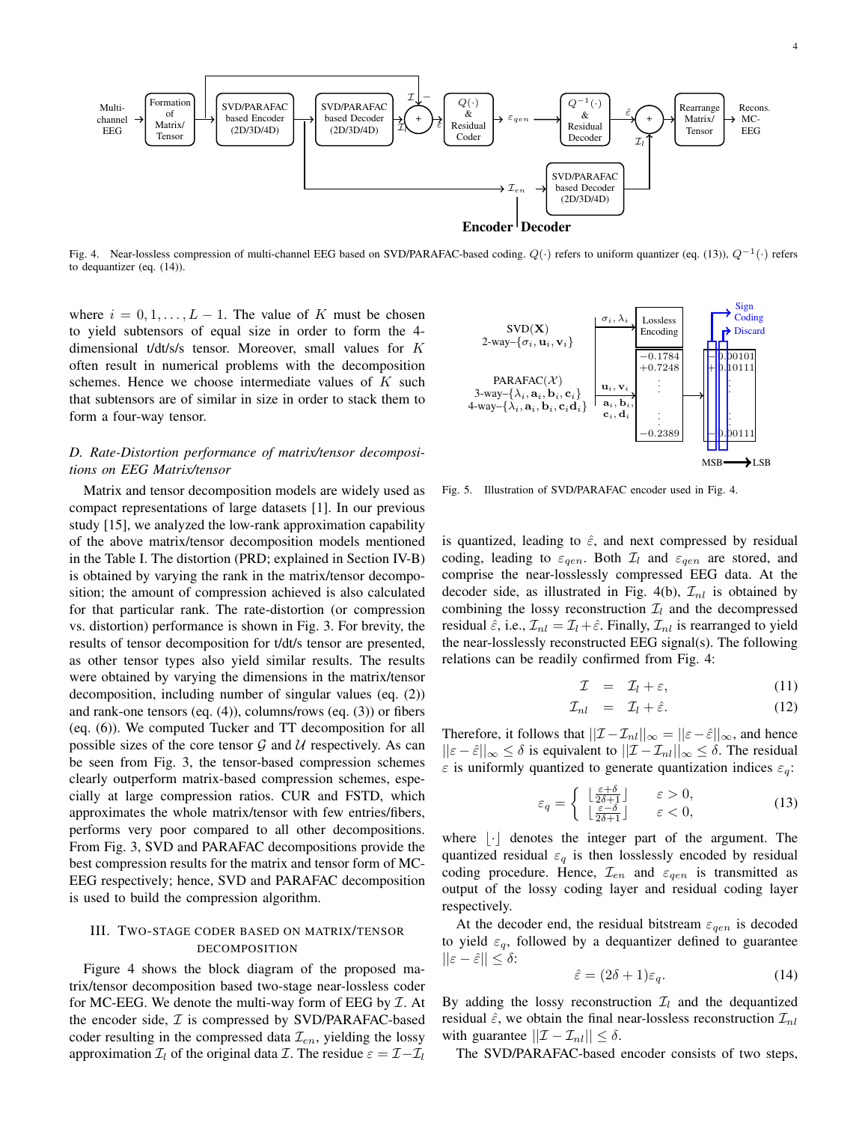

Fig. 4. Near-lossless compression of multi-channel EEG based on SVD/PARAFAC-based coding.  $Q(·)$  refers to uniform quantizer (eq. (13)),  $Q^{-1}(·)$  refers to dequantizer (eq. (14)).

where  $i = 0, 1, \ldots, L - 1$ . The value of K must be chosen to yield subtensors of equal size in order to form the 4 dimensional t/dt/s/s tensor. Moreover, small values for K often result in numerical problems with the decomposition schemes. Hence we choose intermediate values of  $K$  such that subtensors are of similar in size in order to stack them to form a four-way tensor.

## *D. Rate-Distortion performance of matrix/tensor decompositions on EEG Matrix/tensor*

Matrix and tensor decomposition models are widely used as compact representations of large datasets [1]. In our previous study [15], we analyzed the low-rank approximation capability of the above matrix/tensor decomposition models mentioned in the Table I. The distortion (PRD; explained in Section IV-B) is obtained by varying the rank in the matrix/tensor decomposition; the amount of compression achieved is also calculated for that particular rank. The rate-distortion (or compression vs. distortion) performance is shown in Fig. 3. For brevity, the results of tensor decomposition for t/dt/s tensor are presented, as other tensor types also yield similar results. The results were obtained by varying the dimensions in the matrix/tensor decomposition, including number of singular values (eq. (2)) and rank-one tensors (eq. (4)), columns/rows (eq. (3)) or fibers (eq. (6)). We computed Tucker and TT decomposition for all possible sizes of the core tensor  $G$  and  $U$  respectively. As can be seen from Fig. 3, the tensor-based compression schemes clearly outperform matrix-based compression schemes, especially at large compression ratios. CUR and FSTD, which approximates the whole matrix/tensor with few entries/fibers, performs very poor compared to all other decompositions. From Fig. 3, SVD and PARAFAC decompositions provide the best compression results for the matrix and tensor form of MC-EEG respectively; hence, SVD and PARAFAC decomposition is used to build the compression algorithm.

## III. TWO-STAGE CODER BASED ON MATRIX/TENSOR DECOMPOSITION

Figure 4 shows the block diagram of the proposed matrix/tensor decomposition based two-stage near-lossless coder for MC-EEG. We denote the multi-way form of EEG by  $\mathcal I$ . At the encoder side,  $I$  is compressed by SVD/PARAFAC-based coder resulting in the compressed data  $\mathcal{I}_{en}$ , yielding the lossy approximation  $\mathcal{I}_l$  of the original data  $\mathcal{I}$ . The residue  $\varepsilon = \mathcal{I} - \mathcal{I}_l$ 



Fig. 5. Illustration of SVD/PARAFAC encoder used in Fig. 4.

is quantized, leading to  $\hat{\varepsilon}$ , and next compressed by residual coding, leading to  $\varepsilon_{gen}$ . Both  $\mathcal{I}_l$  and  $\varepsilon_{gen}$  are stored, and comprise the near-losslessly compressed EEG data. At the decoder side, as illustrated in Fig. 4(b),  $\mathcal{I}_{nl}$  is obtained by combining the lossy reconstruction  $\mathcal{I}_l$  and the decompressed residual  $\hat{\epsilon}$ , i.e.,  $\mathcal{I}_{nl} = \mathcal{I}_l + \hat{\epsilon}$ . Finally,  $\mathcal{I}_{nl}$  is rearranged to yield the near-losslessly reconstructed EEG signal(s). The following relations can be readily confirmed from Fig. 4:

$$
\mathcal{I} = \mathcal{I}_l + \varepsilon, \tag{11}
$$

$$
\mathcal{I}_{nl} = \mathcal{I}_l + \hat{\varepsilon}.\tag{12}
$$

Therefore, it follows that  $||\mathcal{I} - \mathcal{I}_{nl}||_{\infty} = ||\varepsilon - \hat{\varepsilon}||_{\infty}$ , and hence  $||\varepsilon - \hat{\varepsilon}||_{\infty} \leq \delta$  is equivalent to  $||\mathcal{I} - \mathcal{I}_{nl}||_{\infty} \leq \delta$ . The residual  $\varepsilon$  is uniformly quantized to generate quantization indices  $\varepsilon_q$ :

$$
\varepsilon_q = \begin{cases} \n\left\lfloor \frac{\varepsilon + \delta}{2\delta + 1} \right\rfloor & \varepsilon > 0, \\
\left\lfloor \frac{\varepsilon - \delta}{2\delta + 1} \right\rfloor & \varepsilon < 0,\n\end{cases} \tag{13}
$$

where  $|\cdot|$  denotes the integer part of the argument. The quantized residual  $\varepsilon_q$  is then losslessly encoded by residual coding procedure. Hence,  $\mathcal{I}_{en}$  and  $\varepsilon_{qen}$  is transmitted as output of the lossy coding layer and residual coding layer respectively.

At the decoder end, the residual bitstream  $\varepsilon_{qen}$  is decoded to yield  $\varepsilon_q$ , followed by a dequantizer defined to guarantee  $||\varepsilon - \hat{\varepsilon}|| \leq \delta$ :

$$
\hat{\varepsilon} = (2\delta + 1)\varepsilon_q. \tag{14}
$$

By adding the lossy reconstruction  $\mathcal{I}_l$  and the dequantized residual  $\hat{\varepsilon}$ , we obtain the final near-lossless reconstruction  $\mathcal{I}_{nl}$ with guarantee  $||\mathcal{I} - \mathcal{I}_{nl}|| \leq \delta$ .

The SVD/PARAFAC-based encoder consists of two steps,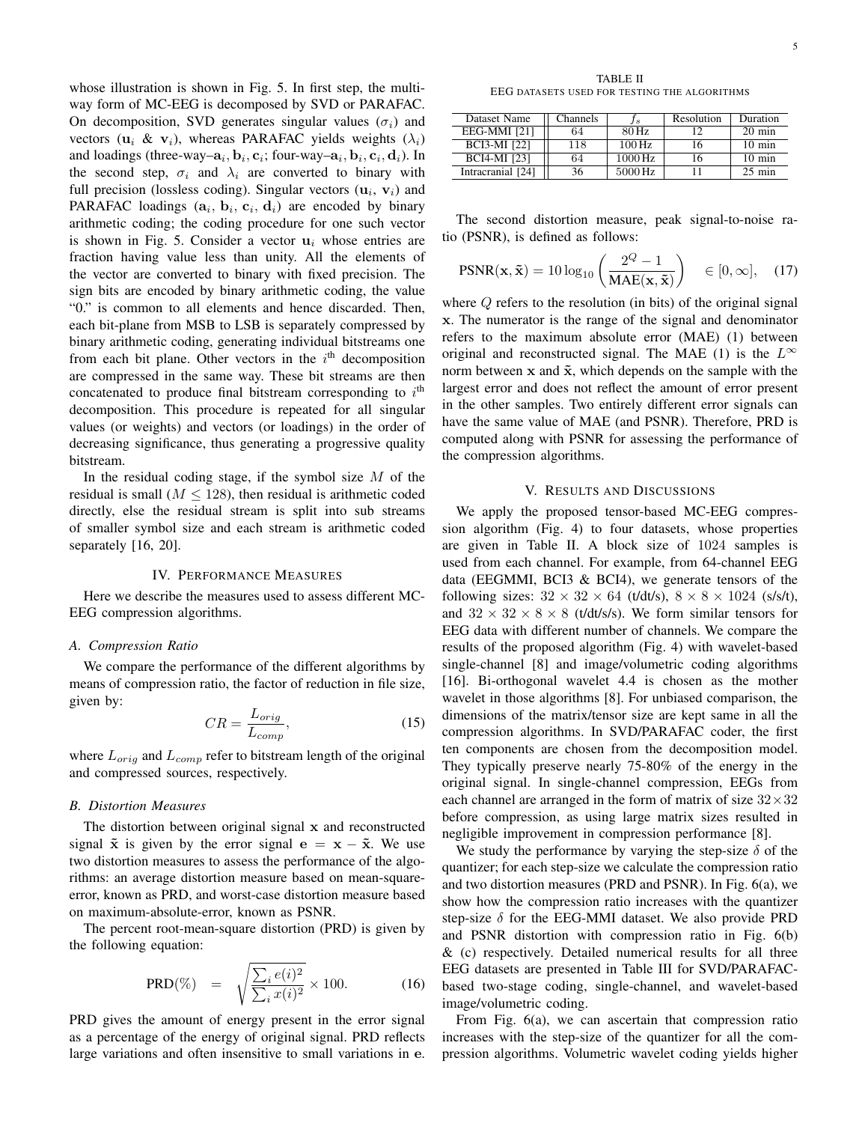whose illustration is shown in Fig. 5. In first step, the multiway form of MC-EEG is decomposed by SVD or PARAFAC. On decomposition, SVD generates singular values  $(\sigma_i)$  and vectors ( $\mathbf{u}_i \& \mathbf{v}_i$ ), whereas PARAFAC yields weights ( $\lambda_i$ ) and loadings (three-way– $a_i, b_i, c_i$ ; four-way– $a_i, b_i, c_i, d_i$ ). In the second step,  $\sigma_i$  and  $\lambda_i$  are converted to binary with full precision (lossless coding). Singular vectors  $(\mathbf{u}_i, \mathbf{v}_i)$  and PARAFAC loadings  $(a_i, b_i, c_i, d_i)$  are encoded by binary arithmetic coding; the coding procedure for one such vector is shown in Fig. 5. Consider a vector  $\mathbf{u}_i$  whose entries are fraction having value less than unity. All the elements of the vector are converted to binary with fixed precision. The sign bits are encoded by binary arithmetic coding, the value "0." is common to all elements and hence discarded. Then, each bit-plane from MSB to LSB is separately compressed by binary arithmetic coding, generating individual bitstreams one from each bit plane. Other vectors in the  $i<sup>th</sup>$  decomposition are compressed in the same way. These bit streams are then concatenated to produce final bitstream corresponding to  $i<sup>th</sup>$ decomposition. This procedure is repeated for all singular values (or weights) and vectors (or loadings) in the order of decreasing significance, thus generating a progressive quality bitstream.

In the residual coding stage, if the symbol size  $M$  of the residual is small ( $M < 128$ ), then residual is arithmetic coded directly, else the residual stream is split into sub streams of smaller symbol size and each stream is arithmetic coded separately [16, 20].

## IV. PERFORMANCE MEASURES

Here we describe the measures used to assess different MC-EEG compression algorithms.

#### *A. Compression Ratio*

We compare the performance of the different algorithms by means of compression ratio, the factor of reduction in file size, given by:

$$
CR = \frac{L_{orig}}{L_{comp}},\tag{15}
$$

where  $L_{orig}$  and  $L_{comp}$  refer to bitstream length of the original and compressed sources, respectively.

## *B. Distortion Measures*

The distortion between original signal x and reconstructed signal  $\tilde{x}$  is given by the error signal  $e = x - \tilde{x}$ . We use two distortion measures to assess the performance of the algorithms: an average distortion measure based on mean-squareerror, known as PRD, and worst-case distortion measure based on maximum-absolute-error, known as PSNR.

The percent root-mean-square distortion (PRD) is given by the following equation:

$$
PRD(\%) = \sqrt{\frac{\sum_{i} e(i)^2}{\sum_{i} x(i)^2}} \times 100. \tag{16}
$$

PRD gives the amount of energy present in the error signal as a percentage of the energy of original signal. PRD reflects large variations and often insensitive to small variations in e.

TABLE II EEG DATASETS USED FOR TESTING THE ALGORITHMS

| Dataset Name        | Channels |                    | Resolution | Duration         |
|---------------------|----------|--------------------|------------|------------------|
| EEG-MMI [21]        | 64       | 80 Hz              |            | $20 \text{ min}$ |
| <b>BCI3-MI</b> [22] | 118      | $100\,\mathrm{Hz}$ | 16         | $10 \text{ min}$ |
| <b>BCI4-MI</b> [23] | 64       | 1000 Hz            | 16         | $10 \text{ min}$ |
| Intracranial [24]   | 36       | 5000 Hz            |            | $25$ min         |

The second distortion measure, peak signal-to-noise ratio (PSNR), is defined as follows:

$$
PSNR(\mathbf{x}, \tilde{\mathbf{x}}) = 10 \log_{10} \left( \frac{2^Q - 1}{MAE(\mathbf{x}, \tilde{\mathbf{x}})} \right) \in [0, \infty], \quad (17)
$$

where Q refers to the resolution (in bits) of the original signal x. The numerator is the range of the signal and denominator refers to the maximum absolute error (MAE) (1) between original and reconstructed signal. The MAE (1) is the  $L^{\infty}$ norm between  $x$  and  $\tilde{x}$ , which depends on the sample with the largest error and does not reflect the amount of error present in the other samples. Two entirely different error signals can have the same value of MAE (and PSNR). Therefore, PRD is computed along with PSNR for assessing the performance of the compression algorithms.

### V. RESULTS AND DISCUSSIONS

We apply the proposed tensor-based MC-EEG compression algorithm (Fig. 4) to four datasets, whose properties are given in Table II. A block size of 1024 samples is used from each channel. For example, from 64-channel EEG data (EEGMMI, BCI3 & BCI4), we generate tensors of the following sizes:  $32 \times 32 \times 64$  (t/dt/s),  $8 \times 8 \times 1024$  (s/s/t), and  $32 \times 32 \times 8 \times 8$  (t/dt/s/s). We form similar tensors for EEG data with different number of channels. We compare the results of the proposed algorithm (Fig. 4) with wavelet-based single-channel [8] and image/volumetric coding algorithms [16]. Bi-orthogonal wavelet 4.4 is chosen as the mother wavelet in those algorithms [8]. For unbiased comparison, the dimensions of the matrix/tensor size are kept same in all the compression algorithms. In SVD/PARAFAC coder, the first ten components are chosen from the decomposition model. They typically preserve nearly 75-80% of the energy in the original signal. In single-channel compression, EEGs from each channel are arranged in the form of matrix of size  $32 \times 32$ before compression, as using large matrix sizes resulted in negligible improvement in compression performance [8].

We study the performance by varying the step-size  $\delta$  of the quantizer; for each step-size we calculate the compression ratio and two distortion measures (PRD and PSNR). In Fig. 6(a), we show how the compression ratio increases with the quantizer step-size  $\delta$  for the EEG-MMI dataset. We also provide PRD and PSNR distortion with compression ratio in Fig. 6(b)  $&$  (c) respectively. Detailed numerical results for all three EEG datasets are presented in Table III for SVD/PARAFACbased two-stage coding, single-channel, and wavelet-based image/volumetric coding.

From Fig. 6(a), we can ascertain that compression ratio increases with the step-size of the quantizer for all the compression algorithms. Volumetric wavelet coding yields higher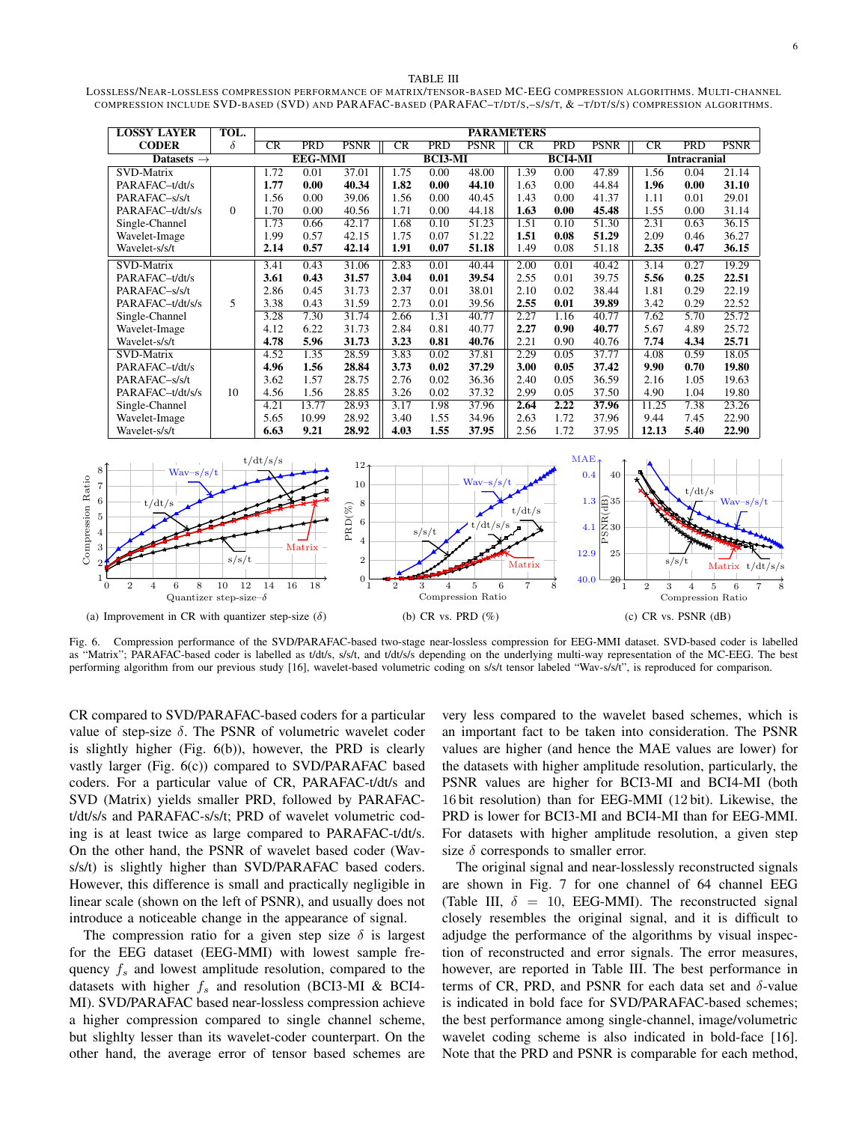#### TABLE III LOSSLESS/NEAR-LOSSLESS COMPRESSION PERFORMANCE OF MATRIX/TENSOR-BASED MC-EEG COMPRESSION ALGORITHMS. MULTI-CHANNEL COMPRESSION INCLUDE SVD-BASED (SVD) AND PARAFAC-BASED (PARAFAC–T/DT/S,–S/S/T, & –T/DT/S/S) COMPRESSION ALGORITHMS.

| <b>LOSSY LAYER</b>     | TOL.     | <b>PARAMETERS</b> |                |             |             |                |             |           |            |                     |             |            |             |
|------------------------|----------|-------------------|----------------|-------------|-------------|----------------|-------------|-----------|------------|---------------------|-------------|------------|-------------|
| <b>CODER</b>           | $\delta$ | CR                | <b>PRD</b>     | <b>PSNR</b> | $_{\rm CR}$ | <b>PRD</b>     | <b>PSNR</b> | CR        | <b>PRD</b> | <b>PSNR</b>         | $_{\rm CR}$ | <b>PRD</b> | <b>PSNR</b> |
| Datasets $\rightarrow$ |          |                   | <b>EEG-MMI</b> |             |             | <b>BCI3-MI</b> |             | $BCI4-MI$ |            | <b>Intracranial</b> |             |            |             |
| SVD-Matrix             |          | 1.72              | 0.01           | 37.01       | 1.75        | 0.00           | 48.00       | 1.39      | 0.00       | 47.89               | 1.56        | 0.04       | 21.14       |
| PARAFAC-t/dt/s         |          | 1.77              | 0.00           | 40.34       | 1.82        | 0.00           | 44.10       | 1.63      | 0.00       | 44.84               | 1.96        | 0.00       | 31.10       |
| PARAFAC-s/s/t          |          | 1.56              | 0.00           | 39.06       | 1.56        | 0.00           | 40.45       | 1.43      | 0.00       | 41.37               | 1.11        | 0.01       | 29.01       |
| PARAFAC-t/dt/s/s       | $\Omega$ | 1.70              | 0.00           | 40.56       | 1.71        | 0.00           | 44.18       | 1.63      | 0.00       | 45.48               | 1.55        | 0.00       | 31.14       |
| Single-Channel         |          | 1.73              | 0.66           | 42.17       | 1.68        | 0.10           | 51.23       | 1.51      | 0.10       | 51.30               | 2.31        | 0.63       | 36.15       |
| Wavelet-Image          |          | 1.99              | 0.57           | 42.15       | 1.75        | 0.07           | 51.22       | 1.51      | 0.08       | 51.29               | 2.09        | 0.46       | 36.27       |
| Wavelet-s/s/t          |          | 2.14              | 0.57           | 42.14       | 1.91        | 0.07           | 51.18       | 1.49      | 0.08       | 51.18               | 2.35        | 0.47       | 36.15       |
| SVD-Matrix             |          | 3.41              | 0.43           | 31.06       | 2.83        | 0.01           | 40.44       | 2.00      | 0.01       | 40.42               | 3.14        | 0.27       | 19.29       |
| PARAFAC-t/dt/s         |          | 3.61              | 0.43           | 31.57       | 3.04        | 0.01           | 39.54       | 2.55      | 0.01       | 39.75               | 5.56        | 0.25       | 22.51       |
| PARAFAC-s/s/t          |          | 2.86              | 0.45           | 31.73       | 2.37        | 0.01           | 38.01       | 2.10      | 0.02       | 38.44               | 1.81        | 0.29       | 22.19       |
| PARAFAC-t/dt/s/s       | 5        | 3.38              | 0.43           | 31.59       | 2.73        | 0.01           | 39.56       | 2.55      | 0.01       | 39.89               | 3.42        | 0.29       | 22.52       |
| Single-Channel         |          | 3.28              | 7.30           | 31.74       | 2.66        | 1.31           | 40.77       | 2.27      | 1.16       | 40.77               | 7.62        | 5.70       | 25.72       |
| Wavelet-Image          |          | 4.12              | 6.22           | 31.73       | 2.84        | 0.81           | 40.77       | 2.27      | 0.90       | 40.77               | 5.67        | 4.89       | 25.72       |
| Wavelet-s/s/t          |          | 4.78              | 5.96           | 31.73       | 3.23        | 0.81           | 40.76       | 2.21      | 0.90       | 40.76               | 7.74        | 4.34       | 25.71       |
| <b>SVD-Matrix</b>      |          | 4.52              | 1.35           | 28.59       | 3.83        | 0.02           | 37.81       | 2.29      | 0.05       | 37.77               | 4.08        | 0.59       | 18.05       |
| PARAFAC-t/dt/s         |          | 4.96              | 1.56           | 28.84       | 3.73        | 0.02           | 37.29       | 3.00      | 0.05       | 37.42               | 9.90        | 0.70       | 19.80       |
| PARAFAC-s/s/t          | 10       | 3.62              | 1.57           | 28.75       | 2.76        | 0.02           | 36.36       | 2.40      | 0.05       | 36.59               | 2.16        | 1.05       | 19.63       |
| PARAFAC-t/dt/s/s       |          | 4.56              | 1.56           | 28.85       | 3.26        | 0.02           | 37.32       | 2.99      | 0.05       | 37.50               | 4.90        | 1.04       | 19.80       |
| Single-Channel         |          | 4.21              | 13.77          | 28.93       | 3.17        | 1.98           | 37.96       | 2.64      | 2.22       | 37.96               | 11.25       | 7.38       | 23.26       |
| Wavelet-Image          |          | 5.65              | 10.99          | 28.92       | 3.40        | 1.55           | 34.96       | 2.63      | 1.72       | 37.96               | 9.44        | 7.45       | 22.90       |
| Wavelet-s/s/t          |          | 6.63              | 9.21           | 28.92       | 4.03        | 1.55           | 37.95       | 2.56      | 1.72       | 37.95               | 12.13       | 5.40       | 22.90       |



Fig. 6. Compression performance of the SVD/PARAFAC-based two-stage near-lossless compression for EEG-MMI dataset. SVD-based coder is labelled as "Matrix"; PARAFAC-based coder is labelled as t/dt/s, s/s/t, and t/dt/s/s depending on the underlying multi-way representation of the MC-EEG. The best performing algorithm from our previous study [16], wavelet-based volumetric coding on s/s/t tensor labeled "Wav-s/s/t", is reproduced for comparison.

CR compared to SVD/PARAFAC-based coders for a particular value of step-size  $\delta$ . The PSNR of volumetric wavelet coder is slightly higher (Fig. 6(b)), however, the PRD is clearly vastly larger (Fig. 6(c)) compared to SVD/PARAFAC based coders. For a particular value of CR, PARAFAC-t/dt/s and SVD (Matrix) yields smaller PRD, followed by PARAFACt/dt/s/s and PARAFAC-s/s/t; PRD of wavelet volumetric coding is at least twice as large compared to PARAFAC-t/dt/s. On the other hand, the PSNR of wavelet based coder (Wavs/s/t) is slightly higher than SVD/PARAFAC based coders. However, this difference is small and practically negligible in linear scale (shown on the left of PSNR), and usually does not introduce a noticeable change in the appearance of signal.

The compression ratio for a given step size  $\delta$  is largest for the EEG dataset (EEG-MMI) with lowest sample frequency  $f_s$  and lowest amplitude resolution, compared to the datasets with higher  $f_s$  and resolution (BCI3-MI & BCI4-MI). SVD/PARAFAC based near-lossless compression achieve a higher compression compared to single channel scheme, but slighlty lesser than its wavelet-coder counterpart. On the other hand, the average error of tensor based schemes are

very less compared to the wavelet based schemes, which is an important fact to be taken into consideration. The PSNR values are higher (and hence the MAE values are lower) for the datasets with higher amplitude resolution, particularly, the PSNR values are higher for BCI3-MI and BCI4-MI (both 16 bit resolution) than for EEG-MMI (12 bit). Likewise, the PRD is lower for BCI3-MI and BCI4-MI than for EEG-MMI. For datasets with higher amplitude resolution, a given step size  $\delta$  corresponds to smaller error.

The original signal and near-losslessly reconstructed signals are shown in Fig. 7 for one channel of 64 channel EEG (Table III,  $\delta = 10$ , EEG-MMI). The reconstructed signal closely resembles the original signal, and it is difficult to adjudge the performance of the algorithms by visual inspection of reconstructed and error signals. The error measures, however, are reported in Table III. The best performance in terms of CR, PRD, and PSNR for each data set and  $\delta$ -value is indicated in bold face for SVD/PARAFAC-based schemes; the best performance among single-channel, image/volumetric wavelet coding scheme is also indicated in bold-face [16]. Note that the PRD and PSNR is comparable for each method,